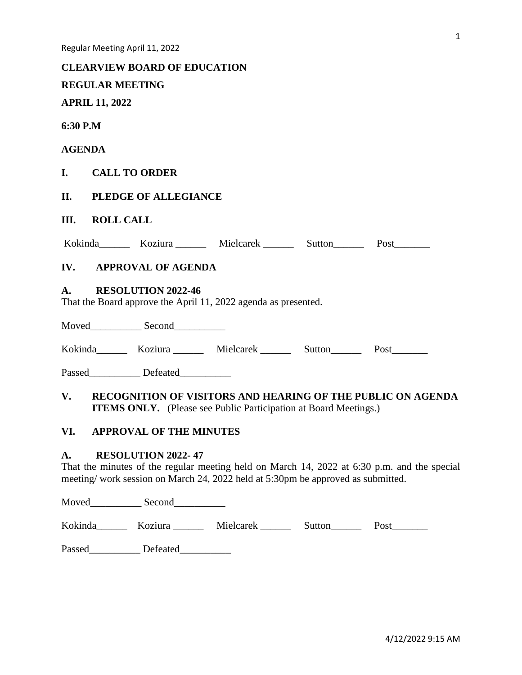### **CLEARVIEW BOARD OF EDUCATION**

# **REGULAR MEETING**

# **APRIL 11, 2022**

### **6:30 P.M**

# **AGENDA**

# **I. CALL TO ORDER**

# **II. PLEDGE OF ALLEGIANCE**

# **III. ROLL CALL**

| Kokinda | Koziura | Mielcarek | Sutton | Post |
|---------|---------|-----------|--------|------|
|         |         |           |        |      |

# **IV. APPROVAL OF AGENDA**

### **A. RESOLUTION 2022-46**

That the Board approve the April 11, 2022 agenda as presented.

Moved\_\_\_\_\_\_\_\_\_\_\_\_ Second\_\_\_\_\_\_\_\_\_\_\_

Kokinda\_\_\_\_\_\_\_ Koziura \_\_\_\_\_\_ Mielcarek \_\_\_\_\_\_\_ Sutton\_\_\_\_\_\_ Post\_\_\_\_\_\_\_

Passed Defeated

# **V. RECOGNITION OF VISITORS AND HEARING OF THE PUBLIC ON AGENDA ITEMS ONLY.** (Please see Public Participation at Board Meetings.)

# **VI. APPROVAL OF THE MINUTES**

### **A. RESOLUTION 2022- 47**

That the minutes of the regular meeting held on March 14, 2022 at 6:30 p.m. and the special meeting/ work session on March 24, 2022 held at 5:30pm be approved as submitted.

Moved Second

Kokinda\_\_\_\_\_\_ Koziura \_\_\_\_\_\_ Mielcarek \_\_\_\_\_\_ Sutton\_\_\_\_\_\_ Post\_\_\_\_\_\_\_

Passed Defeated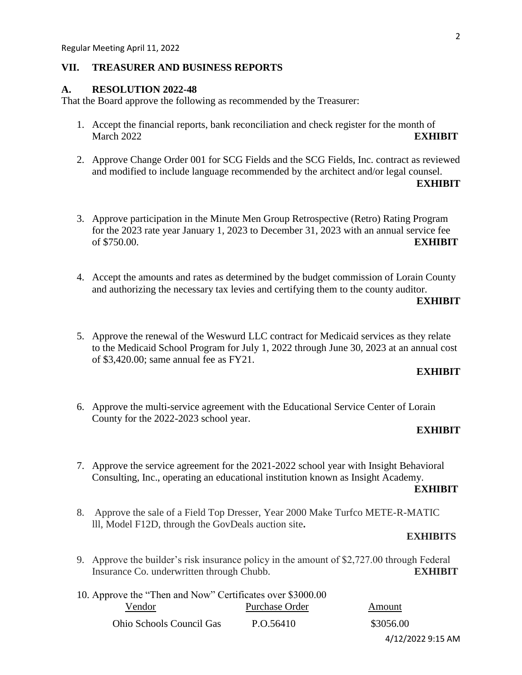### **VII. TREASURER AND BUSINESS REPORTS**

# **A. RESOLUTION 2022-48**

That the Board approve the following as recommended by the Treasurer:

- 1. Accept the financial reports, bank reconciliation and check register for the month of March 2022 **EXHIBIT**
- 2. Approve Change Order 001 for SCG Fields and the SCG Fields, Inc. contract as reviewed and modified to include language recommended by the architect and/or legal counsel.

#### **EXHIBIT**

- 3. Approve participation in the Minute Men Group Retrospective (Retro) Rating Program for the 2023 rate year January 1, 2023 to December 31, 2023 with an annual service fee of \$750.00. **EXHIBIT**
- 4. Accept the amounts and rates as determined by the budget commission of Lorain County and authorizing the necessary tax levies and certifying them to the county auditor.

### **EXHIBIT**

5. Approve the renewal of the Weswurd LLC contract for Medicaid services as they relate to the Medicaid School Program for July 1, 2022 through June 30, 2023 at an annual cost of \$3,420.00; same annual fee as FY21.

# **EXHIBIT**

6. Approve the multi-service agreement with the Educational Service Center of Lorain County for the 2022-2023 school year.

#### **EXHIBIT**

7. Approve the service agreement for the 2021-2022 school year with Insight Behavioral Consulting, Inc., operating an educational institution known as Insight Academy.

#### **EXHIBIT**

8. Approve the sale of a Field Top Dresser, Year 2000 Make Turfco METE-R-MATIC lll, Model F12D, through the GovDeals auction site**.**

### **EXHIBITS**

9. Approve the builder's risk insurance policy in the amount of \$2,727.00 through Federal Insurance Co. underwritten through Chubb. **EXHIBIT**

| 10. Approve the "Then and Now" Certificates over \$3000.00 |                |                   |
|------------------------------------------------------------|----------------|-------------------|
| Vendor                                                     | Purchase Order | Amount            |
| <b>Ohio Schools Council Gas</b>                            | P.O.56410      | \$3056.00         |
|                                                            |                | 4/12/2022 9:15 AM |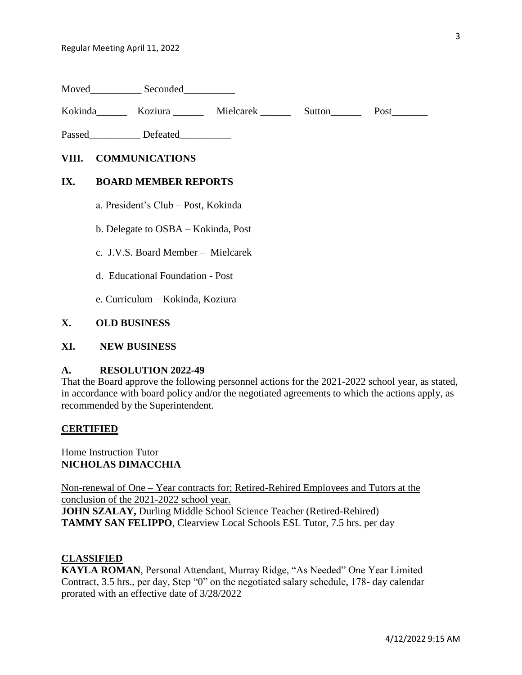Moved Seconded

Kokinda\_\_\_\_\_\_ Koziura \_\_\_\_\_ Mielcarek \_\_\_\_\_\_ Sutton\_\_\_\_\_ Post\_\_\_\_\_\_\_

Passed\_\_\_\_\_\_\_\_\_\_\_\_ Defeated\_\_\_\_\_\_\_\_\_\_\_

### **VIII. COMMUNICATIONS**

#### **IX. BOARD MEMBER REPORTS**

- a. President's Club Post, Kokinda
- b. Delegate to OSBA Kokinda, Post
- c. J.V.S. Board Member Mielcarek
- d. Educational Foundation Post

e. Curriculum – Kokinda, Koziura

### **X. OLD BUSINESS**

### **XI. NEW BUSINESS**

#### **A. RESOLUTION 2022-49**

That the Board approve the following personnel actions for the 2021-2022 school year, as stated, in accordance with board policy and/or the negotiated agreements to which the actions apply, as recommended by the Superintendent.

#### **CERTIFIED**

Home Instruction Tutor **NICHOLAS DIMACCHIA**

Non-renewal of One – Year contracts for; Retired-Rehired Employees and Tutors at the conclusion of the 2021-2022 school year.

**JOHN SZALAY,** Durling Middle School Science Teacher (Retired-Rehired) **TAMMY SAN FELIPPO**, Clearview Local Schools ESL Tutor, 7.5 hrs. per day

### **CLASSIFIED**

**KAYLA ROMAN**, Personal Attendant, Murray Ridge, "As Needed" One Year Limited Contract, 3.5 hrs., per day, Step "0" on the negotiated salary schedule, 178- day calendar prorated with an effective date of 3/28/2022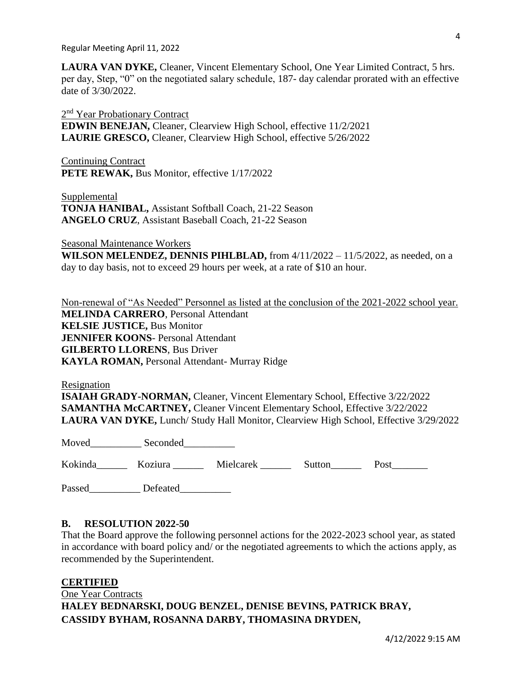Regular Meeting April 11, 2022

**LAURA VAN DYKE,** Cleaner, Vincent Elementary School, One Year Limited Contract, 5 hrs. per day, Step, "0" on the negotiated salary schedule, 187- day calendar prorated with an effective date of 3/30/2022.

2<sup>nd</sup> Year Probationary Contract **EDWIN BENEJAN,** Cleaner, Clearview High School, effective 11/2/2021 **LAURIE GRESCO,** Cleaner, Clearview High School, effective 5/26/2022

Continuing Contract PETE REWAK, Bus Monitor, effective  $1/17/2022$ 

**Supplemental TONJA HANIBAL,** Assistant Softball Coach, 21-22 Season **ANGELO CRUZ**, Assistant Baseball Coach, 21-22 Season

Seasonal Maintenance Workers

**WILSON MELENDEZ, DENNIS PIHLBLAD,** from 4/11/2022 – 11/5/2022, as needed, on a day to day basis, not to exceed 29 hours per week, at a rate of \$10 an hour.

Non-renewal of "As Needed" Personnel as listed at the conclusion of the 2021-2022 school year. **MELINDA CARRERO**, Personal Attendant **KELSIE JUSTICE,** Bus Monitor **JENNIFER KOONS- Personal Attendant GILBERTO LLORENS**, Bus Driver **KAYLA ROMAN,** Personal Attendant- Murray Ridge

Resignation

**ISAIAH GRADY-NORMAN,** Cleaner, Vincent Elementary School, Effective 3/22/2022 **SAMANTHA McCARTNEY,** Cleaner Vincent Elementary School, Effective 3/22/2022 **LAURA VAN DYKE,** Lunch/ Study Hall Monitor, Clearview High School, Effective 3/29/2022

Moved\_\_\_\_\_\_\_\_\_\_\_\_\_\_ Seconded\_\_\_\_\_\_\_\_\_\_\_\_\_

Kokinda\_\_\_\_\_\_ Koziura \_\_\_\_\_\_ Mielcarek \_\_\_\_\_\_ Sutton\_\_\_\_\_\_ Post\_\_\_\_\_\_\_

Passed Defeated

### **B. RESOLUTION 2022-50**

That the Board approve the following personnel actions for the 2022-2023 school year, as stated in accordance with board policy and/ or the negotiated agreements to which the actions apply, as recommended by the Superintendent.

### **CERTIFIED**

One Year Contracts **HALEY BEDNARSKI, DOUG BENZEL, DENISE BEVINS, PATRICK BRAY, CASSIDY BYHAM, ROSANNA DARBY, THOMASINA DRYDEN,**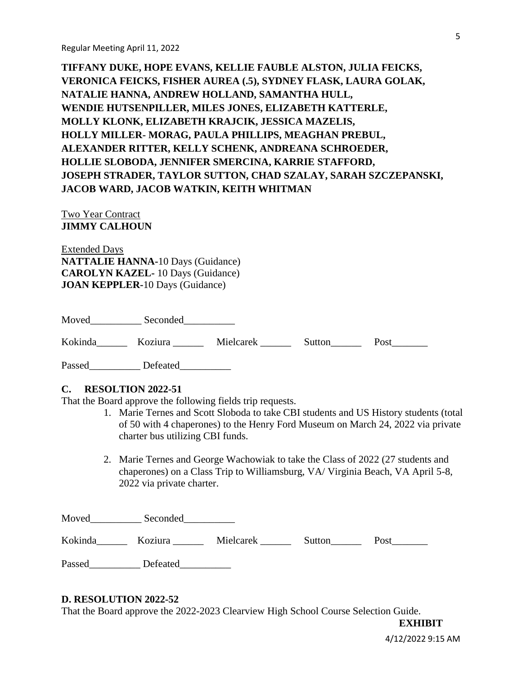**TIFFANY DUKE, HOPE EVANS, KELLIE FAUBLE ALSTON, JULIA FEICKS, VERONICA FEICKS, FISHER AUREA (.5), SYDNEY FLASK, LAURA GOLAK, NATALIE HANNA, ANDREW HOLLAND, SAMANTHA HULL, WENDIE HUTSENPILLER, MILES JONES, ELIZABETH KATTERLE, MOLLY KLONK, ELIZABETH KRAJCIK, JESSICA MAZELIS, HOLLY MILLER- MORAG, PAULA PHILLIPS, MEAGHAN PREBUL, ALEXANDER RITTER, KELLY SCHENK, ANDREANA SCHROEDER, HOLLIE SLOBODA, JENNIFER SMERCINA, KARRIE STAFFORD, JOSEPH STRADER, TAYLOR SUTTON, CHAD SZALAY, SARAH SZCZEPANSKI, JACOB WARD, JACOB WATKIN, KEITH WHITMAN**

### Two Year Contract **JIMMY CALHOUN**

Extended Days **NATTALIE HANNA-**10 Days (Guidance) **CAROLYN KAZEL-** 10 Days (Guidance) **JOAN KEPPLER-**10 Days (Guidance)

| Moved   | Seconded |           |        |      |
|---------|----------|-----------|--------|------|
| Kokinda | Koziura  | Mielcarek | Sutton | Post |

Passed Defeated

### **C. RESOLTION 2022-51**

That the Board approve the following fields trip requests.

- 1. Marie Ternes and Scott Sloboda to take CBI students and US History students (total of 50 with 4 chaperones) to the Henry Ford Museum on March 24, 2022 via private charter bus utilizing CBI funds.
- 2. Marie Ternes and George Wachowiak to take the Class of 2022 (27 students and chaperones) on a Class Trip to Williamsburg, VA/ Virginia Beach, VA April 5-8, 2022 via private charter.

| Moved   | Seconded |           |        |      |
|---------|----------|-----------|--------|------|
| Kokinda | Koziura  | Mielcarek | Sutton | Post |
| Passed  | Defeated |           |        |      |

#### **D. RESOLUTION 2022-52**

That the Board approve the 2022-2023 Clearview High School Course Selection Guide.

4/12/2022 9:15 AM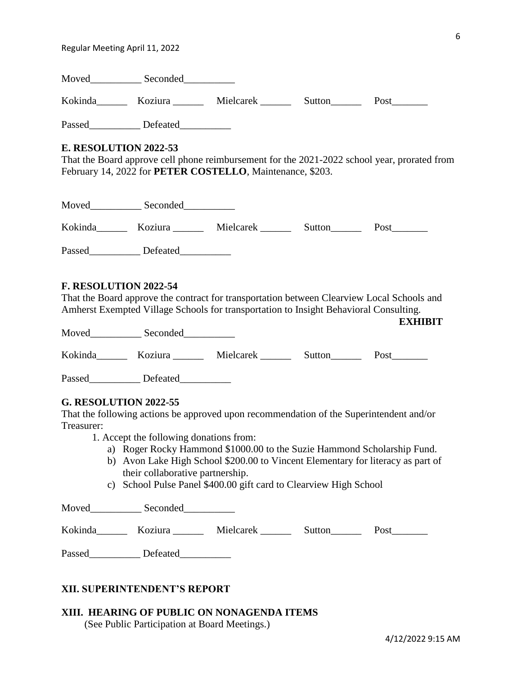Regular Meeting April 11, 2022

| Moved   | Seconded |           |        |      |
|---------|----------|-----------|--------|------|
| Kokinda | Koziura  | Mielcarek | Sutton | Post |

Passed Defeated

# **E. RESOLUTION 2022-53**

That the Board approve cell phone reimbursement for the 2021-2022 school year, prorated from February 14, 2022 for **PETER COSTELLO**, Maintenance, \$203.

| Moved   | Seconded |           |        |      |
|---------|----------|-----------|--------|------|
| Kokinda | Koziura  | Mielcarek | Sutton | Post |
| Passed  | Defeated |           |        |      |

# **F. RESOLUTION 2022-54**

That the Board approve the contract for transportation between Clearview Local Schools and Amherst Exempted Village Schools for transportation to Insight Behavioral Consulting.

| Moved   | Seconded |           |        |      |
|---------|----------|-----------|--------|------|
| Kokinda | Koziura  | Mielcarek | Sutton | Post |
| Passed  | Defeated |           |        |      |

### **G. RESOLUTION 2022-55**

That the following actions be approved upon recommendation of the Superintendent and/or Treasurer:

- 1. Accept the following donations from:
	- a) Roger Rocky Hammond \$1000.00 to the Suzie Hammond Scholarship Fund.
	- b) Avon Lake High School \$200.00 to Vincent Elementary for literacy as part of their collaborative partnership.
	- c) School Pulse Panel \$400.00 gift card to Clearview High School

| Moved   | Seconded |           |        |      |
|---------|----------|-----------|--------|------|
| Kokinda | Koziura  | Mielcarek | Sutton | Post |
| Passed  | Defeated |           |        |      |

# **XII. SUPERINTENDENT'S REPORT**

### **XIII. HEARING OF PUBLIC ON NONAGENDA ITEMS** (See Public Participation at Board Meetings.)

**EXHIBIT**